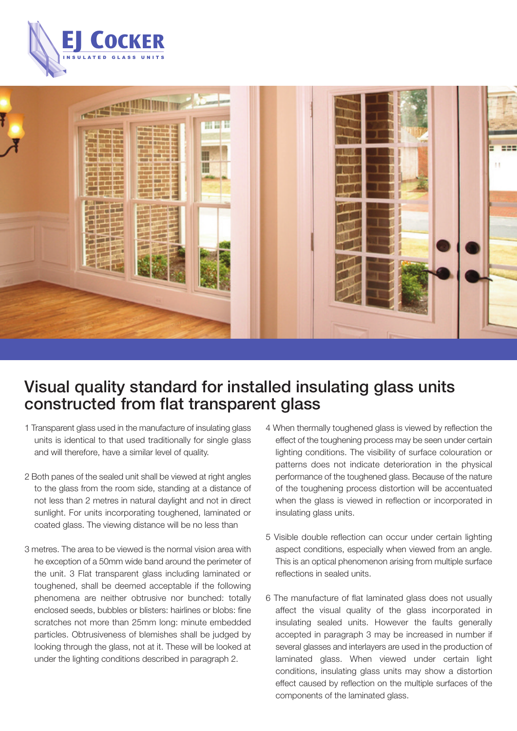



# Visual quality standard for installed insulating glass units constructed from flat transparent glass

- 1 Transparent glass used in the manufacture of insulating glass units is identical to that used traditionally for single glass and will therefore, have a similar level of quality.
- 2 Both panes of the sealed unit shall be viewed at right angles to the glass from the room side, standing at a distance of not less than 2 metres in natural daylight and not in direct sunlight. For units incorporating toughened, laminated or coated glass. The viewing distance will be no less than
- 3 metres. The area to be viewed is the normal vision area with he exception of a 50mm wide band around the perimeter of the unit. 3 Flat transparent glass including laminated or toughened, shall be deemed acceptable if the following phenomena are neither obtrusive nor bunched: totally enclosed seeds, bubbles or blisters: hairlines or blobs: fine scratches not more than 25mm long: minute embedded particles. Obtrusiveness of blemishes shall be judged by looking through the glass, not at it. These will be looked at under the lighting conditions described in paragraph 2.
- 4 When thermally toughened glass is viewed by reflection the effect of the toughening process may be seen under certain lighting conditions. The visibility of surface colouration or patterns does not indicate deterioration in the physical performance of the toughened glass. Because of the nature of the toughening process distortion will be accentuated when the glass is viewed in reflection or incorporated in insulating glass units.
- 5 Visible double reflection can occur under certain lighting aspect conditions, especially when viewed from an angle. This is an optical phenomenon arising from multiple surface reflections in sealed units.
- 6 The manufacture of flat laminated glass does not usually affect the visual quality of the glass incorporated in insulating sealed units. However the faults generally accepted in paragraph 3 may be increased in number if several glasses and interlayers are used in the production of laminated glass. When viewed under certain light conditions, insulating glass units may show a distortion effect caused by reflection on the multiple surfaces of the components of the laminated glass.